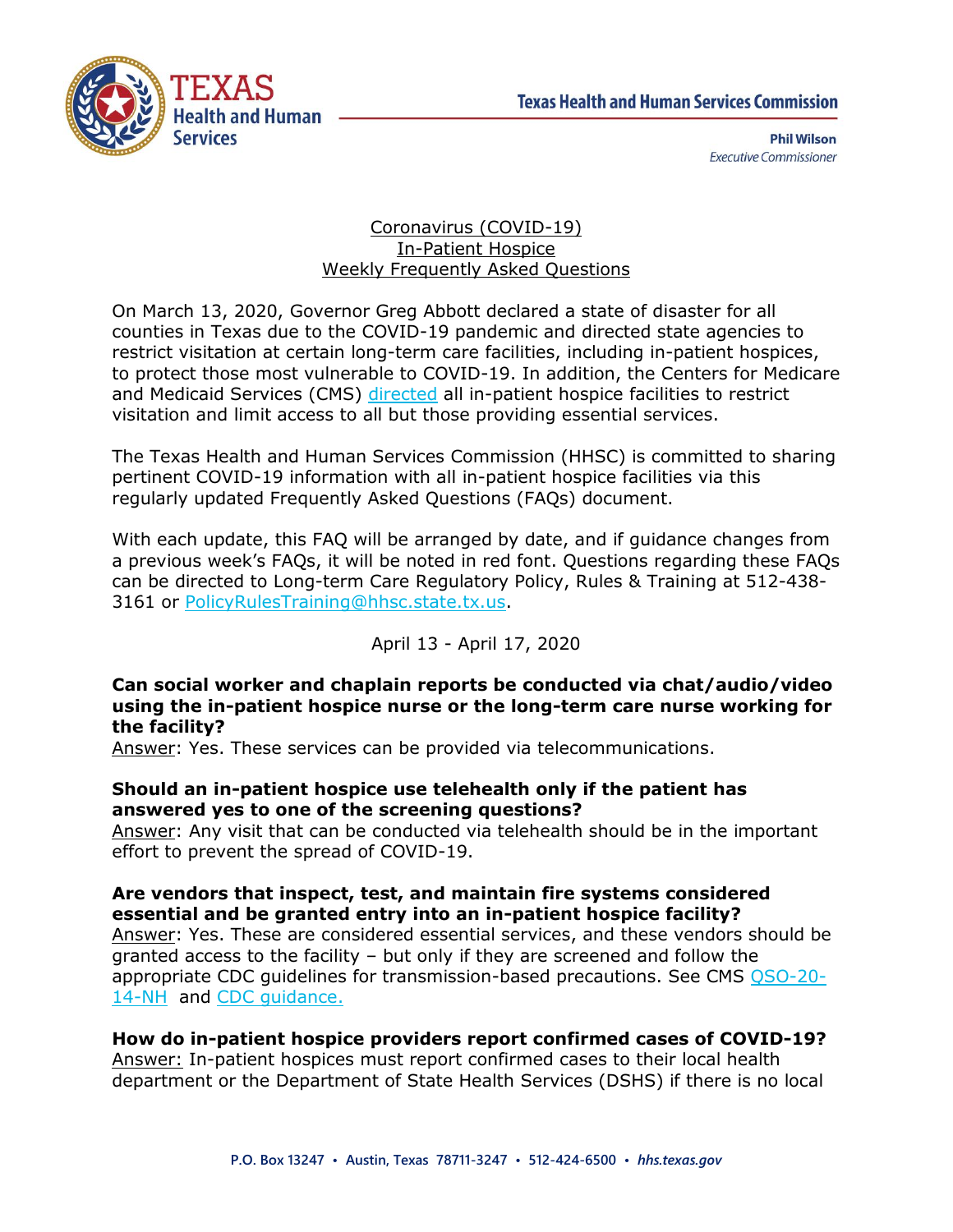

**Phil Wilson Executive Commissioner** 

#### Coronavirus (COVID-19) In-Patient Hospice Weekly Frequently Asked Questions

On March 13, 2020, Governor Greg Abbott declared a state of disaster for all counties in Texas due to the COVID-19 pandemic and directed state agencies to restrict visitation at certain long-term care facilities, including in-patient hospices, to protect those most vulnerable to COVID-19. In addition, the Centers for Medicare and Medicaid Services (CMS) [directed](https://www.cms.gov/files/document/qso-20-14-nh-revised.pdf) all in-patient hospice facilities to restrict visitation and limit access to all but those providing essential services.

The Texas Health and Human Services Commission (HHSC) is committed to sharing pertinent COVID-19 information with all in-patient hospice facilities via this regularly updated Frequently Asked Questions (FAQs) document.

With each update, this FAQ will be arranged by date, and if guidance changes from a previous week's FAQs, it will be noted in red font. Questions regarding these FAQs can be directed to Long-term Care Regulatory Policy, Rules & Training at 512-438- 3161 or [PolicyRulesTraining@hhsc.state.tx.us.](mailto:PolicyRulesTraining@hhsc.state.tx.us)

# April 13 - April 17, 2020

#### **Can social worker and chaplain reports be conducted via chat/audio/video using the in-patient hospice nurse or the long-term care nurse working for the facility?**

Answer: Yes. These services can be provided via telecommunications.

### **Should an in-patient hospice use telehealth only if the patient has answered yes to one of the screening questions?**

Answer: Any visit that can be conducted via telehealth should be in the important effort to prevent the spread of COVID-19.

### **Are vendors that inspect, test, and maintain fire systems considered essential and be granted entry into an in-patient hospice facility?**

Answer: Yes. These are considered essential services, and these vendors should be granted access to the facility – but only if they are screened and follow the appropriate CDC guidelines for transmission-based precautions. See CMS [QSO-20-](https://www.cms.gov/files/document/qso-20-14-nh-revised.pdf) [14-NH](https://www.cms.gov/files/document/qso-20-14-nh-revised.pdf) and [CDC guidance.](https://www.cdc.gov/coronavirus/2019-ncov/hcp/guidance-risk-assesment-hcp.html)

# **How do in-patient hospice providers report confirmed cases of COVID-19?**

Answer: In-patient hospices must report confirmed cases to their local health department or the Department of State Health Services (DSHS) if there is no local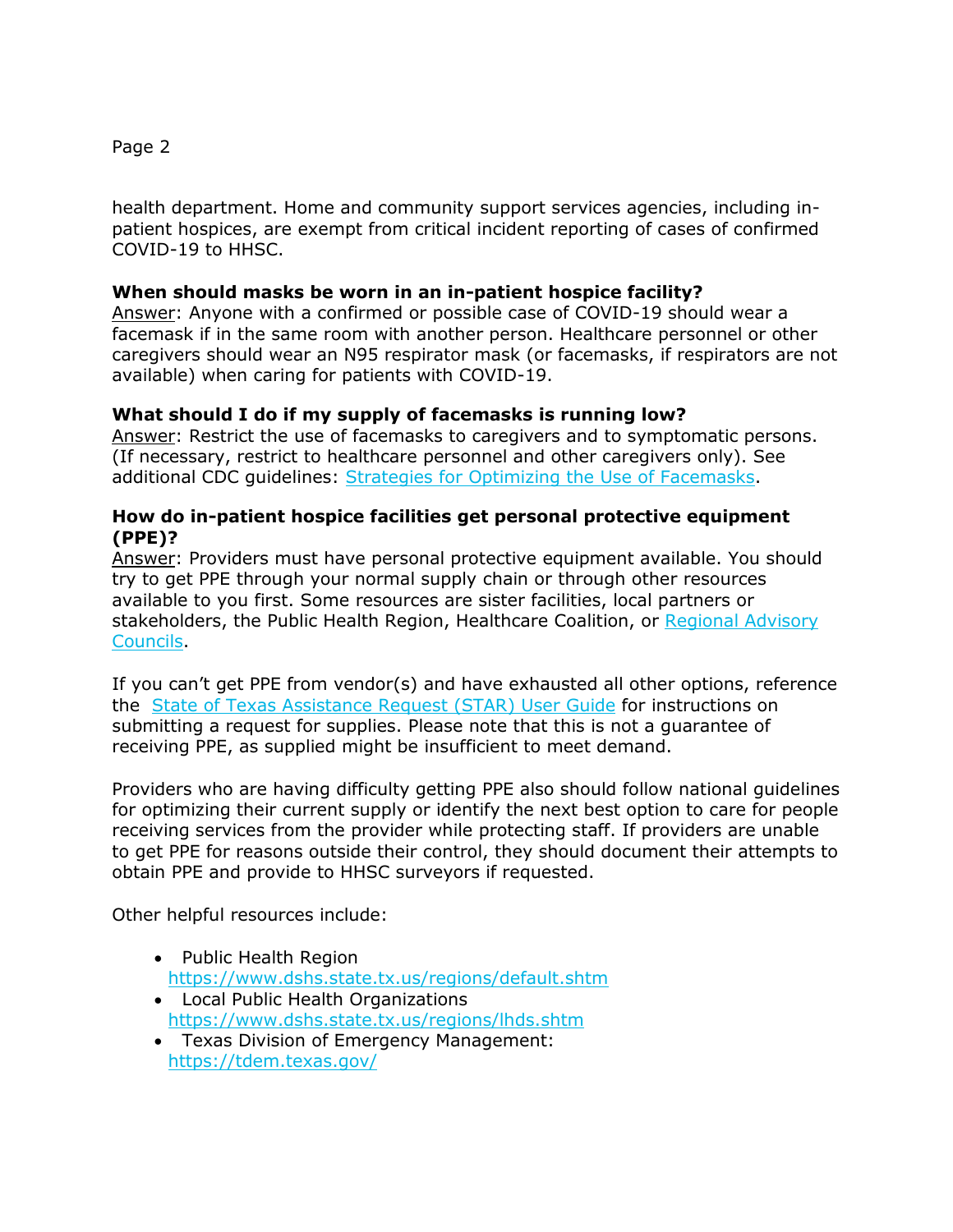# Page 2

health department. Home and community support services agencies, including inpatient hospices, are exempt from critical incident reporting of cases of confirmed COVID-19 to HHSC.

# **When should masks be worn in an in-patient hospice facility?**

Answer: Anyone with a confirmed or possible case of COVID-19 should wear a facemask if in the same room with another person. Healthcare personnel or other caregivers should wear an N95 respirator mask (or facemasks, if respirators are not available) when caring for patients with COVID-19.

### **What should I do if my supply of facemasks is running low?**

Answer: Restrict the use of facemasks to caregivers and to symptomatic persons. (If necessary, restrict to healthcare personnel and other caregivers only). See additional CDC guidelines: [Strategies for Optimizing the Use of Facemasks.](https://www.cdc.gov/coronavirus/2019-ncov/hcp/ppe-strategy/index.html)

#### **How do in-patient hospice facilities get personal protective equipment (PPE)?**

Answer: Providers must have personal protective equipment available. You should try to get PPE through your normal supply chain or through other resources available to you first. Some resources are sister facilities, local partners or stakeholders, the Public Health Region, Healthcare Coalition, or [Regional Advisory](https://dshs.texas.gov/emstraumasystems/etrarac.shtm)  [Councils.](https://dshs.texas.gov/emstraumasystems/etrarac.shtm)

If you can't get PPE from vendor(s) and have exhausted all other options, reference the [State of Texas Assistance Request \(STAR\) User Guide](https://olympus.soc.texas.gov/files/docs/StarGuides/2020_STAR_SOC_Quick_Reference_Guide.pdf) for instructions on submitting a request for supplies. Please note that this is not a guarantee of receiving PPE, as supplied might be insufficient to meet demand.

Providers who are having difficulty getting PPE also should follow national guidelines for optimizing their current supply or identify the next best option to care for people receiving services from the provider while protecting staff. If providers are unable to get PPE for reasons outside their control, they should document their attempts to obtain PPE and provide to HHSC surveyors if requested.

Other helpful resources include:

- Public Health Region <https://www.dshs.state.tx.us/regions/default.shtm>
- Local Public Health Organizations <https://www.dshs.state.tx.us/regions/lhds.shtm>
- Texas Division of Emergency Management: <https://tdem.texas.gov/>